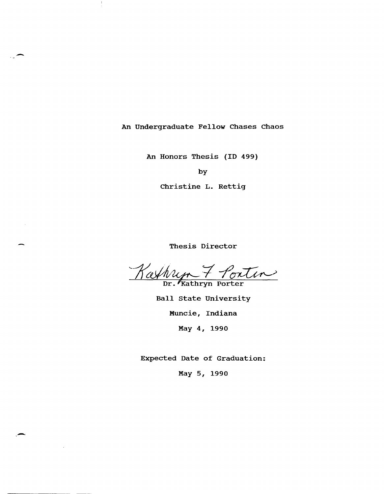An Undergraduate Fellow Chases Chaos

-

An Honors Thesis (ID 499)

by

Christine L. Rettig

Thesis Director

Kathryn 7 Pontin

Ball state University Muncie, Indiana May 4, 1990

Expected Date of Graduation:

May 5, 1990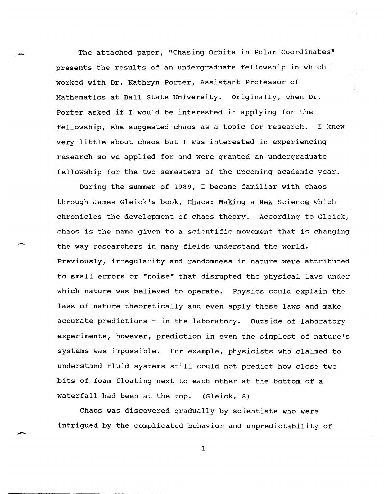The attached paper, "Chasing Orbits in Polar Coordinates" presents the results of an undergraduate fellowship in which I worked with Dr. Kathryn Porter, Assistant Professor of Mathematics at Ball state University. Originally, when Dr. Porter asked if I would be interested in applying for the fellowship, she suggested chaos as a topic for research. I knew very little about chaos but I was interested in experiencing research so we applied for and were granted an undergraduate fellowship for the two semesters of the upcoming academic year.

During the summer of 1989, I became familiar with chaos through James Gleick's book, Chaos: Making a New Science which chronicles the development of chaos theory. According to Gleick, chaos is the name given to a scientific movement that is changing the way researchers in many fields understand the world. Previously, irregularity and randomness in nature were attributed to small errors or "noise" that disrupted the physical laws under which nature was believed to operate. Physics could explain the laws of nature theoretically and even apply these laws and make accurate predictions - in the laboratory. Outside of laboratory experiments, however, prediction in even the simplest of nature's systems was impossible. For example, physicists who claimed to understand fluid systems still could not predict how close two bits of foam floating next to each other at the bottom of a waterfall had been at the top. (Gleick, 8)

Chaos was discovered gradually by scientists who were intrigued by the complicated behavior and unpredictability of

-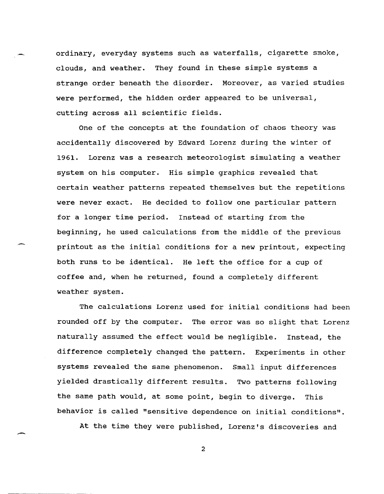ordinary, everyday systems such as waterfalls, cigarette smoke, clouds, and weather. They found in these simple systems a strange order beneath the disorder. Moreover, as varied studies were performed, the hidden order appeared to be universal, cutting across all scientific fields.

One of the concepts at the foundation of chaos theory was accidentally discovered by Edward Lorenz during the winter of 1961. Lorenz was a research meteorologist simulating a weather system on his computer. His simple graphics revealed that certain weather patterns repeated themselves but the repetitions were never exact. He decided to follow one particular pattern for a longer time period. Instead of starting from the beginning, he used calculations from the middle of the previous printout as the initial conditions for a new printout, expecting both runs to be identical. He left the office for a cup of coffee and, when he returned, found a completely different weather system.

The calculations Lorenz used for initial conditions had been rounded off by the computer. The error was so slight that Lorenz naturally assumed the effect would be negligible. Instead, the difference completely changed the pattern. Experiments in other systems revealed the same phenomenon. Small input differences yielded drastically different results. Two patterns following the same path would, at some point, begin to diverge. This behavior is called "sensitive dependence on initial conditions".

At the time they were published, Lorenz's discoveries and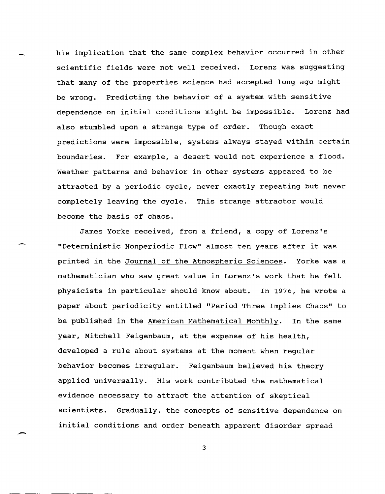his implication that the same complex behavior occurred in other scientific fields were not well received. Lorenz was suggesting that many of the properties science had accepted long ago might be wrong. Predicting the behavior of a system with sensitive dependence on initial conditions might be impossible. Lorenz had also stumbled upon a strange type of order. Though exact predictions were impossible, systems always stayed within certain boundaries. For example, a desert would not experience a flood. Weather patterns and behavior in other systems appeared to be attracted by a periodic cycle, never exactly repeating but never completely leaving the cycle. This strange attractor would become the basis of chaos.

James Yorke received, from a friend, a copy of Lorenz's "Deterministic Nonperiodic Flow" almost ten years after it was printed in the Journal of the Atmospheric Sciences. Yorke was a mathematician who saw great value in Lorenz's work that he felt physicists in particular should know about. In 1976, he wrote a paper about periodicity entitled "Period Three Implies Chaos" to be published in the American Mathematical Monthly. In the same year, Mitchell Feigenbaum, at the expense of his health, developed a rule about systems at the moment when regular behavior becomes irregular. Feigenbaum believed his theory applied universally. His work contributed the mathematical evidence necessary to attract the attention of skeptical scientists. Gradually, the concepts of sensitive dependence on initial conditions and order beneath apparent disorder spread

3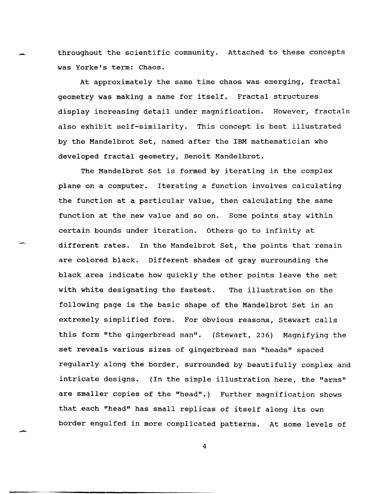throughout. the scientific community. Attached to these concepts was Yorke's term: Chaos.

At approximately the same time chaos was emerging, fractal geometry was making a name for itself. Fractal structures display increasing detail under magnification. However, fractals also exhibit self-similarity. This concept is best illustrated by the Mandelbrot Set, named after the IBM mathematician who developed fractal geometry, Benoit Mandelbrot.

The Mandelbrot Set is formed by iterating in the complex plane on a computer. Iterating a function involves calculating the function at a particular value, then calculating the same function at the new value and so on. Some points stay within certain bounds under iteration. others go to infinity at different rates. In the Mandelbrot Set, the points that remain are colored black. Different shades of gray surrounding the black area indicate how quickly the other points leave the set with white designating the fastest. The illustration on the following page is the basic shape of the Mandelbrot Set in an extremely simplified form. For obvious reasons, Stewart calls this form "the gingerbread man". (Stewart, 236) Magnifying the set reveals various sizes of gingerbread man "heads" spaced regularly along the border, surrounded by beautifully complex and intricate designs. (In the simple illustration here, the "arms" are smaller copies of the "head".) Further magnification shows that each "head" has small replicas of itself along its own border engulfed in more complicated patterns. At some levels of

4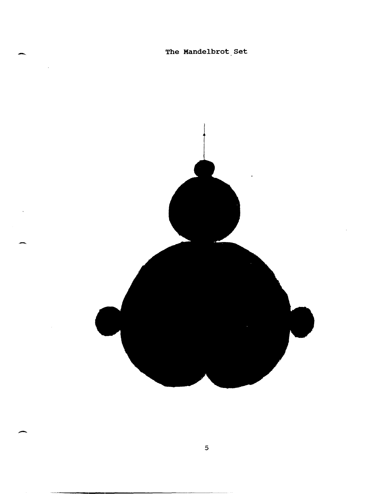The Mandelbrot Set

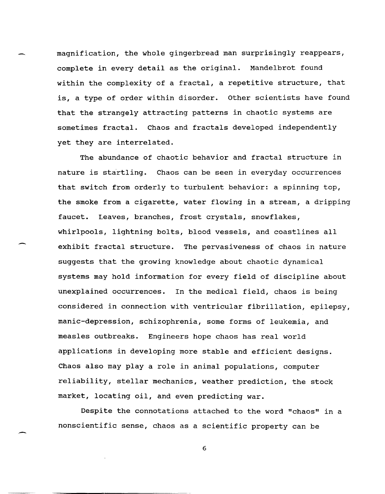magnification, the whole gingerbread man surprisingly reappears, complete in every detail as the original. Mandelbrot found within the complexity of a fractal, a repetitive structure, that is, a type of order within disorder. other scientists have found that the strangely attracting patterns in chaotic systems are sometimes fractal. Chaos and fractals developed independently yet they are interrelated.

The abundance of chaotic behavior and fractal structure in nature is startling. Chaos can be seen in everyday occurrences that switch from orderly to turbulent behavior: a spinning top, the smoke from a cigarette, water flowing in a stream, a dripping faucet. Leaves, branches, frost crystals, snowflakes, whirlpools, lightning bolts, blood vessels, and coastlines all exhibit fractal structure. The pervasiveness of chaos in nature suggests that the growing knowledge about chaotic dynamical systems may hold information for every field of discipline about unexplained occurrences. In the medical field, chaos is being considered in connection with ventricular fibrillation, epilepsy, manic-depression, schizophrenia, some forms of leukemia, and measles outbreaks. Engineers hope chaos has real world applications in developing more stable and efficient designs. Chaos also may playa role in animal populations, computer reliability, stellar mechanics, weather prediction, the stock market, locating oil, and even predicting war.

Despite the connotations attached to the word "chaos" in a nonscientific sense, chaos as a scientific property can be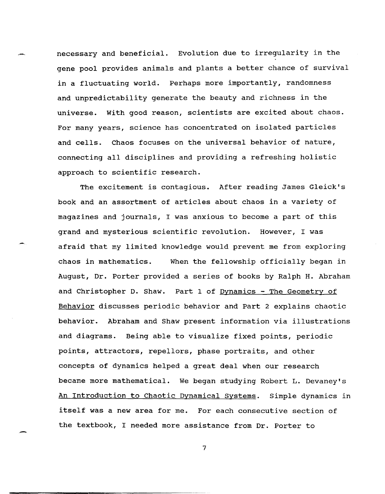necessary and beneficial. Evolution due to irregularity in the gene pool provides animals and plants a better chance of survival in a fluctuating world. Perhaps more importantly, randomness and unpredictability generate the beauty and richness in the universe. with good reason, scientists are excited about chaos. For many years, science has concentrated on isolated particles and cells. Chaos focuses on the universal behavior of nature, connecting all disciplines and providing a refreshing holistic approach to scientific research.

The excitement is contagious. After reading James Gleick's book and an assortment of articles about chaos in a variety of magazines and journals, I was anxious to become a part of this grand and mysterious scientific revolution. However, I was afraid that my limited knowledge would prevent me from exploring chaos in mathematics. When the fellowship officially began in August, Dr. Porter provided a series of books by Ralph H. Abraham and Christopher D. Shaw. Part 1 of Dynamics - The Geometry of Behavior discusses periodic behavior and Part 2 explains chaotic behavior. Abraham and Shaw present information via illustrations and diagrams. Being able to visualize fixed points, periodic points, attractors, repellors, phase portraits, and other concepts of dynamics helped a great deal when our research became more mathematical. We began studying Robert L. Devaney's An Introduction to Chaotic Dynamical Systems. Simple dynamics in itself was a new area for me. For each consecutive section of the textbook, I needed more assistance from Dr. Porter to

7

---------------------,--------------------------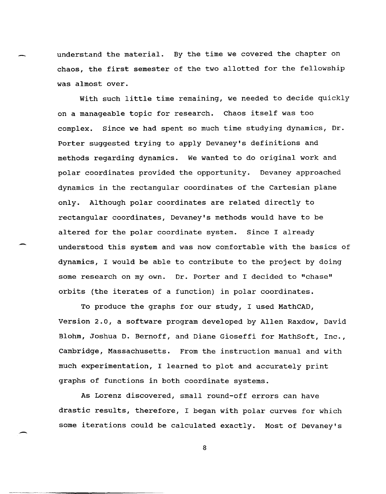understand the material. By the time we covered the chapter on chaos, the first semester of the two allotted for the fellowship was almost over.

with such little time remaining, we needed to decide quickly on a manageable topic for research. Chaos itself was too complex. Since we had spent so much time studying dynamics, Dr. Porter suggested trying to apply Devaney's definitions and methods regarding dynamics. We wanted to do original work and polar coordinates provided the opportunity. Devaney approached dynamics in the rectangular coordinates of the cartesian plane only. Although polar coordinates are related directly to rectangular coordinates, Devaney's methods would have to be altered for the polar coordinate system. Since I already understood this system and was now comfortable with the basics of dynamics, I would be able to contribute to the project by doing some research on my own. Dr. Porter and I decided to "chase" orbits (the iterates of a function) in polar coordinates.

To produce the graphs for our study, I used MathCAD, Version 2.0, a software program developed by Allen Raxdow, David Blohm, Joshua D. Bernoff, and Diane Gioseffi for MathSoft, Inc., Cambridge, Massachusetts. From the instruction manual and with much experimentation, I learned to plot and accurately print graphs of functions in both coordinate systems.

As Lorenz discovered, small round-off errors can have drastic results, therefore, I began with polar curves for which some iterations could be calculated exactly. Most of Devaney's

-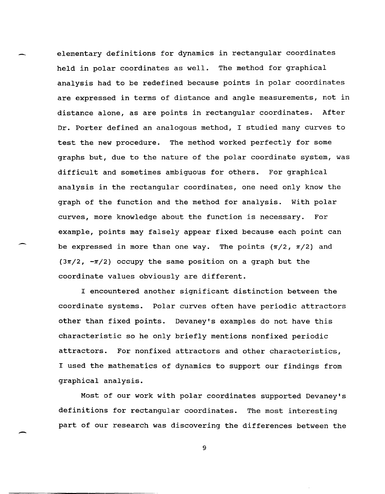elementary definitions for dynamics in rectangular coordinates held in polar coordinates as well. The method for graphical analysis had to be redefined because points in polar coordinates are expressed in terms of distance and angle measurements, not in distance alone, as are points in rectangular coordinates. After Dr. Porter defined an analogous method, I studied many curves to test the new procedure. The method worked perfectly for some graphs but, due to the nature of the polar coordinate system, was difficult and sometimes ambiguous for others. For graphical analysis in the rectangular coordinates, one need only know the graph of the function and the method for analysis. with polar curves, more knowledge about the function is necessary. For example, points may falsely appear fixed because each point can be expressed in more than one way. The points  $(\pi/2, \pi/2)$  and  $(3\pi/2, -\pi/2)$  occupy the same position on a graph but the coordinate values obviously are different.

I encountered another significant distinction between the coordinate systems. Polar curves often have periodic attractors other than fixed points. Devaney's examples do not have this characteristic so he only briefly mentions nonfixed periodic attractors. For nonfixed attractors and other characteristics, I used the mathematics of dynamics to support our findings from graphical analysis.

Most of our work with polar coordinates supported Devaney's definitions for rectangular coordinates. The most interesting part of our research was discovering the differences between the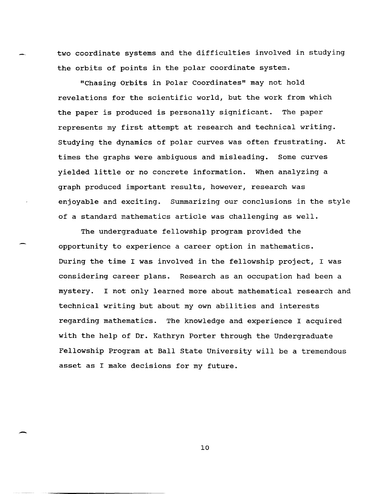two coordinate systems and the difficulties involved in studying the orbits of points in the polar coordinate system.

"Chasing Orbits in Polar Coordinates" may not hold revelations for the scientific world, but the work from which the paper is produced is personally significant. The paper represents my first attempt at research and technical writing. Studying the dynamics of polar curves was often frustrating. At times the graphs were ambiguous and misleading. Some curves yielded little or no concrete information. When analyzing a graph produced important results, however, research was enjoyable and exciting. Summarizing our conclusions in the style of a standard mathematics article was challenging as well.

The undergraduate fellowship program provided the opportunity to experience a career option in mathematics. During the time I was involved in the fellowship project, I was considering career plans. Research as an occupation had been a mystery. I not only learned more about mathematical research and technical writing but about my own abilities and interests regarding mathematics. The knowledge and experience I acquired with the help of Dr. Kathryn Porter through the Undergraduate Fellowship Program at Ball State University will be a tremendous asset as I make decisions for my future.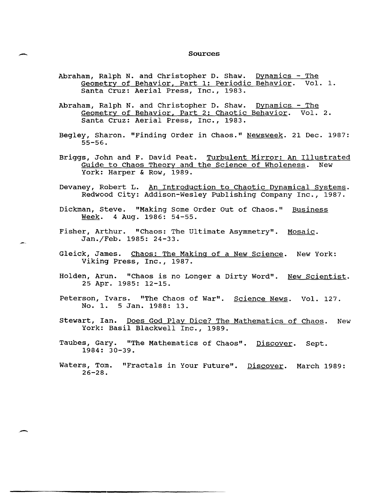## - Sources

- Abraham, Ralph N. and Christopher D. Shaw. Dynamics  $-$  The Geometry of Behavior, Part 1: Periodic Behavior. Vol. 1. Santa Cruz: Aerial Press, Inc., 1983.
- Abraham, Ralph N. and Christopher D. Shaw. Dynamics The Geometry of Behavior, Part 2: Chaotic Behavior. Vol. 2. Santa Cruz: Aerial Press, Inc., 1983.
- Begley, Sharon. "Finding Order in Chaos." Newsweek. 21 Dec. 1987: 55-56.
- Briggs, John and F. David Peat. Turbulent Mirror: An Illustrated<br>Guide to Chaos Theory and the Science of Wholeness. New Guide to Chaos Theory and the Science of Wholeness. York: Harper & Row, 1989.
- Devaney, Robert L. An Introduction to Chaotic Dynamical Systems. Redwood City: Addison-Wesley Publishing Company Inc., 1987.
- Dickman, Steve. "Making Some Order Out of Chaos." Business Week. 4 Aug. 1986: 54-55.
- Fisher, Arthur. "Chaos: The Ultimate Asymmetry". Mosaic. Jan./Feb. 1985: 24-33.
- Gleick, James. Chaos: The Makinq of a New Science. New York: Viking Press, Inc., 1987.
- Holden, Arun. "Chaos is no Longer a Dirty Word". New Scientist. 25 Apr. 1985: 12-15.
- Peterson, Ivars. "The Chaos of War". Science News. Vol. 127. No.1. 5 Jan. 1988: 13.
- stewart, Ian. Does God Play Dice? The Mathematics of Chaos. New York: Basil Blackwell Inc., 1989.
- Taubes, Gary. "The Mathematics of Chaos". Discover. Sept. 1984: 30-39.
- Waters, Tom. "Fractals in Your Future". Discover. March 1989: 26-28.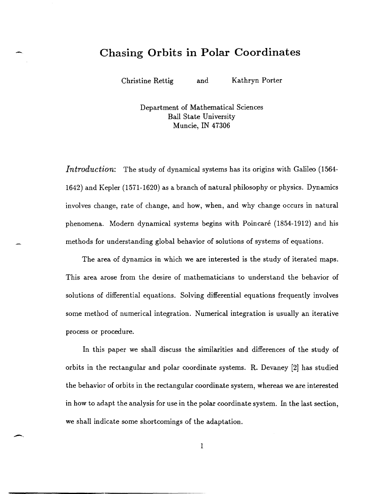## **Chasing Orbits in Polar Coordinates**

Christine Rettig and Kathryn Porter

-

--

Department of Mathematical Sciences Ball State University Muncie, IN 47306

*Introduction:* The study of dynamical systems has its origins with Galileo (1564-1642) and Kepler (1571-1620) as a branch of natural philosophy or physics. Dynamics involves change, rate of change, and how, when, and why change occurs in natural phenomena. Modern dynamical systems begins with Poincare (1854-1912) and his methods for understanding global behavior of solutions of systems of equations.

The area of dynamics in which we are interested is the study of iterated maps. This area arose from the desire of mathematicians to understand the behavior of solutions of differential equations. Solving differential equations frequently involves some method of numerical integration. Numerical integration is usually an iterative process or procedure.

In this paper we shall discuss the similarities and differences of the study of orbits in the rectangular and polar coordinate systems. R. Devaney [2] has studied the behavior of orbits in the rectangular coordinate system, whereas we are interested in how to adapt the analysis for use in the polar coordinate system. In the last section, we shall indicate some shortcomings of the adaptation.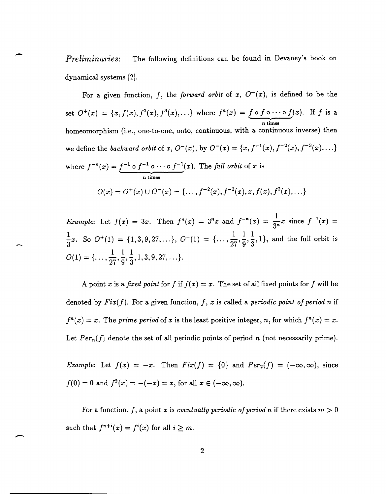*Preliminaries:* The following definitions can be found in Devaney's book on dynamical systems [2].

 $\overline{\phantom{0}}$ 

.-.

For a given function, f, the forward orbit of  $x$ ,  $O^+(x)$ , is defined to be the set  $O^+(x) = \{x, f(x), f^2(x), f^3(x), ...\}$  where  $f^n(x) = \underbrace{f \circ f \circ \cdots \circ f}_{n \text{ times}}(x)$ . If *f* is a homeomorphism (i.e., one-to-one, onto, continuous, with a continuous inverse) then we define the *backward orbit* of  $x, O^-(x)$ , by  $O^-(x) = \{x, f^{-1}(x), f^{-2}(x), f^{-3}(x), ...\}$ where  $f^{-n}(x) = \underbrace{f^{-1} \circ f^{-1} \circ \cdots \circ f^{-1}}_{n}(x)$ . The *full orbit* of *x* is *n* times  $O(x) = O^{+}(x) \cup O^{-}(x) = \{ \ldots, f^{-2}(x), f^{-1}(x), x, f(x), f^{2}(x), \ldots \}$ 

*Example:* Let  $f(x) = 3x$ . Then  $f^{n}(x) = 3^{n}x$  and  $f^{-n}(x) = \frac{1}{3^{n}}x$  since  $f^{-1}(x) =$  $\frac{1}{3}x$ . So  $O^+(1) = \{1,3,9,27,...\}, O^-(1) = \{\ldots,\frac{1}{27},\frac{1}{9},\frac{1}{3},1\}$ , and the full orbit is  $O(1) = \{ \ldots, \frac{1}{27}, \frac{1}{9}, \frac{1}{3}, 1, 3, 9, 27, \ldots \}.$ 

A point *x* is a *fixed point* for *f* if  $f(x) = x$ . The set of all fixed points for *f* will be denoted by *Fix(J).* For a given function, *f, x* is called a *periodic point of period n* if  $f^{n}(x) = x$ . The *prime period* of *x* is the least positive integer, *n*, for which  $f^{n}(x) = x$ . Let  $Per_n(f)$  denote the set of all periodic points of period *n* (not necessarily prime).

*Example:* Let  $f(x) = -x$ . Then  $Fix(f) = \{0\}$  and  $Per_2(f) = (-\infty, \infty)$ , since  $f(0) = 0$  and  $f^{2}(x) = -(-x) = x$ , for all  $x \in (-\infty, \infty)$ .

For a function,  $f$ , a point  $x$  is *eventually periodic of period*  $n$  if there exists  $m > 0$ such that  $f^{n+i}(x) = f^{i}(x)$  for all  $i \geq m$ .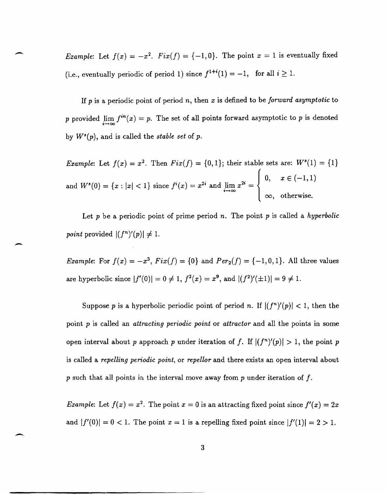*Example:* Let  $f(x) = -x^2$ .  $Fix(f) = \{-1,0\}$ . The point  $x = 1$  is eventually fixed (i.e., eventually periodic of period 1) since  $f^{1+i}(1) = -1$ , for all  $i \ge 1$ .

 $\overline{\phantom{a}}$ 

-

If *p* is a periodic point of period *n,* then *x* is defined to be *forward asymptotic* to *p* provided  $\lim_{i \to \infty} f^{in}(x) = p$ . The set of all points forward asymptotic to *p* is denoted by  $W^s(p)$ , and is called the *stable set* of  $p$ .

*Example:* Let  $f(x) = x^2$ . Then  $Fix(f) = \{0,1\}$ ; their stable sets are:  $W^s(1) = \{1\}$  $\mathbf{I}$  $0, \quad x \in (-1,1)$ and  $W^s(0) = \{x : |x| < 1\}$  since  $f^i(x) = x^{2i}$  and  $\lim_{i \to \infty} x^{2i} = \}$  $\infty$ , otherwise.

Let *p* be a periodic point of prime period *n.* The point *p* is called a *hyperbolic point* provided  $|(f^n)'(p)| \neq 1$ .

*Example:* For  $f(x) = -x^3$ ,  $Fix(f) = \{0\}$  and  $Per_2(f) = \{-1, 0, 1\}$ . All three values are hyperbolic since  $|f'(0)| = 0 \neq 1$ ,  $f^{2}(x) = x^{9}$ , and  $|(f^{2})'(\pm 1)| = 9 \neq 1$ .

Suppose *p* is a hyperbolic periodic point of period *n*. If  $|(f^n)'(p)| < 1$ , then the point *p* is called an *attracting periodic point* or *attractor* and all the points in some open interval about *p* approach *p* under iteration of *f*. If  $|(f^n)'(p)| > 1$ , the point *p* is called a *repelling periodic point,* or *repel/or* and there exists an open interval about p such that all points in the interval move away from p under iteration of  $f$ .

*Example:* Let  $f(x) = x^2$ . The point  $x = 0$  is an attracting fixed point since  $f'(x) = 2x$ and  $|f'(0)| = 0 < 1$ . The point  $x = 1$  is a repelling fixed point since  $|f'(1)| = 2 > 1$ .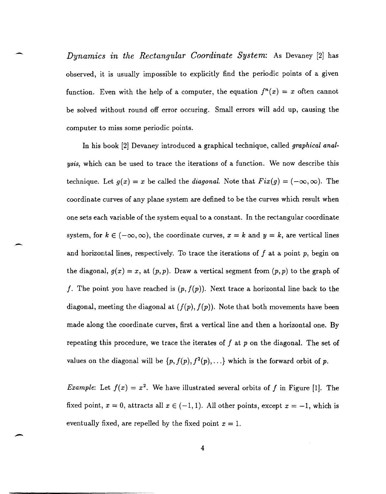*Dynamics in the Rectangular Coordinate System:* As Devaney [2] has observed, it is usually impossible to explicitly find the periodic points of a given function. Even with the help of a computer, the equation  $f^{n}(x) = x$  often cannot be solved without round off error occuring. Small errors will add up, causing the computer to miss some periodic points.

In his book [2] Devaney introduced a graphical technique, called *graphical analysis,* which can be used to trace the iterations of a function. We now describe this technique. Let  $g(x) = x$  be called the *diagonal*. Note that  $Fix(g) = (-\infty, \infty)$ . The coordinate curves of any plane system are defined to be the curves which result when one sets each variable of the system equal to a constant. In the rectangular coordinate system, for  $k \in (-\infty, \infty)$ , the coordinate curves,  $x = k$  and  $y = k$ , are vertical lines and horizontal lines, respectively. To trace the iterations of  $f$  at a point  $p$ , begin on the diagonal,  $g(x) = x$ , at  $(p, p)$ . Draw a vertical segment from  $(p, p)$  to the graph of *f.* The point you have reached is  $(p, f(p))$ . Next trace a horizontal line back to the diagonal, meeting the diagonal at  $(f(p), f(p))$ . Note that both movements have been made along the coordinate curves, first a vertical line and then a horizontal one. By repeating this procedure, we trace the iterates of J at *p* on the diagonal. The set of values on the diagonal will be  $\{p, f(p), f^2(p), \ldots\}$  which is the forward orbit of p.

--

*Example:* Let  $f(x) = x^2$ . We have illustrated several orbits of f in Figure [1]. The fixed point,  $x = 0$ , attracts all  $x \in (-1,1)$ . All other points, except  $x = -1$ , which is eventually fixed, are repelled by the fixed point  $x = 1$ .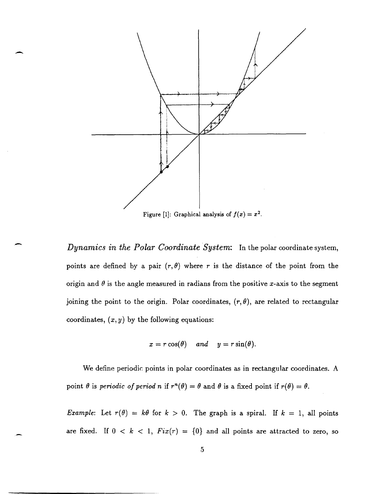

 $\overline{\phantom{0}}$ 

-

Figure [1]: Graphical analysis of  $f(x) = x^2$ .

*Dynamics in the Polar Coordinate System:* In the polar coordinate system, points are defined by a pair  $(r, \theta)$  where r is the distance of the point from the origin and  $\theta$  is the angle measured in radians from the positive x-axis to the segment joining the point to the origin. Polar coordinates,  $(r, \theta)$ , are related to rectangular coordinates,  $(x, y)$  by the following equations:

$$
x = r \cos(\theta) \quad and \quad y = r \sin(\theta).
$$

We define periodic points in polar coordinates as in rectangular coordinates. A point  $\theta$  is *periodic of period n* if  $r^n(\theta) = \theta$  and  $\theta$  is a fixed point if  $r(\theta) = \theta$ .

*Example:* Let  $r(\theta) = k\theta$  for  $k > 0$ . The graph is a spiral. If  $k = 1$ , all points are fixed. If  $0 < k < 1$ ,  $Fix(r) = \{0\}$  and all points are attracted to zero, so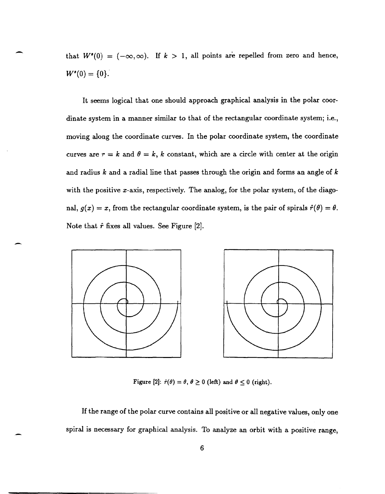that  $W^s(0) = (-\infty, \infty)$ . If  $k > 1$ , all points are repelled from zero and hence,  $W^s(0) = \{0\}.$ 

It seems logical that one should approach graphical analysis in the polar coordinate system in a manner similar to that of the rectangular coordinate system; i.e., moving along the coordinate curves. In the polar coordinate system, the coordinate curves are  $r = k$  and  $\theta = k$ , k constant, which are a circle with center at the origin and radius k and a radial line that passes through the origin and forms an angle of  $k$ with the positive x-axis, respectively. The analog, for the polar system, of the diagonal,  $g(x) = x$ , from the rectangular coordinate system, is the pair of spirals  $\hat{r}(\theta) = \theta$ . Note that  $\hat{r}$  fixes all values. See Figure [2].



Figure [2]:  $\hat{r}(\theta) = \theta$ ,  $\theta \ge 0$  (left) and  $\theta \le 0$  (right).

If the range of the polar curve contains all positive or all negative values, only one spiral is necessary for graphical analysis. To analyze an orbit with a positive range,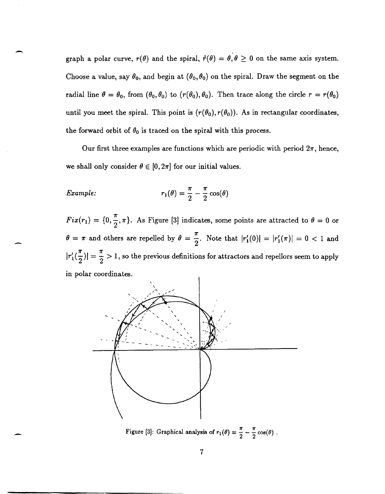graph a polar curve,  $r(\theta)$  and the spiral,  $\hat{r}(\theta) = \hat{\theta}, \theta \ge 0$  on the same axis system. Choose a value, say  $\theta_0$ , and begin at  $(\theta_0, \theta_0)$  on the spiral. Draw the segment on the radial line  $\theta = \theta_0$ , from  $(\theta_0, \theta_0)$  to  $(r(\theta_0), \theta_0)$ . Then trace along the circle  $r = r(\theta_0)$ until you meet the spiral. This point is  $(r(\theta_0), r(\theta_0))$ . As in rectangular coordinates, the forward orbit of  $\theta_0$  is traced on the spiral with this process.

Our first three examples are functions which are periodic with period  $2\pi$ , hence, we shall only consider  $\theta \in [0,2\pi]$  for our initial values.

Example: 
$$
r_1(\theta) = \frac{\pi}{2} - \frac{\pi}{2} \cos(\theta)
$$

-

-

 $Fix(r_1) = \{0, \frac{\pi}{2}, \pi\}.$  As Figure [3] indicates, some points are attracted to  $\theta = 0$  or  $\theta = \pi$  and others are repelled by  $\theta = \frac{\pi}{2}$ . Note that  $|r'_1(0)| = |r'_1(\pi)| = 0 < 1$  and  $|r'_1(\frac{\pi}{2})| = \frac{\pi}{2} > 1$ , so the previous definitions for attractors and repellors seem to apply in polar coordinates.

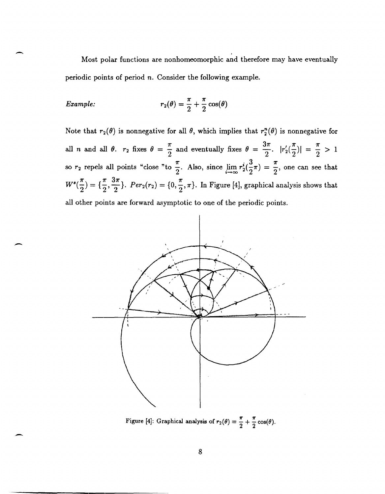Most polar functions are nonhomeomorphic and therefore may have eventually periodic points of period *n.* Consider the following example.

Example: 
$$
r_2(\theta) = \frac{\pi}{2} + \frac{\pi}{2} \cos(\theta)
$$

-

-

-

Note that  $r_2(\theta)$  is nonnegative for all  $\theta$ , which implies that  $r_2^n(\theta)$  is nonnegative for all *n* and all  $\theta$ .  $r_2$  fixes  $\theta = \frac{\pi}{2}$  and eventually fixes  $\theta = \frac{3\pi}{2}$ .  $|r'_2(\frac{\pi}{2})| = \frac{\pi}{2} > 1$ so  $r_2$  repels all points "close "to  $\frac{\pi}{2}$ . Also, since  $\lim_{i \to \infty} r_2^i(\frac{3}{2}\pi) = \frac{\pi}{2}$ , one can see that so  $r_2$  repels all points "close "to  $\frac{\pi}{2}$ . Also, since  $\lim_{i \to \infty} r_2^i(\frac{3}{2}\pi) = \frac{\pi}{2}$ , one can see that  $W^s(\frac{\pi}{2}) = {\frac{\pi}{2}, \frac{3\pi}{2}}$ .  $Per_2(r_2) = {0, \frac{\pi}{2}, \pi}$ . In Figure [4], graphical analysis shows that all other points are forward asymptotic to one of the periodic points.



Figure [4]: Graphical analysis of  $r_2(\theta) = \frac{\pi}{2} + \frac{\pi}{2} \cos(\theta)$ .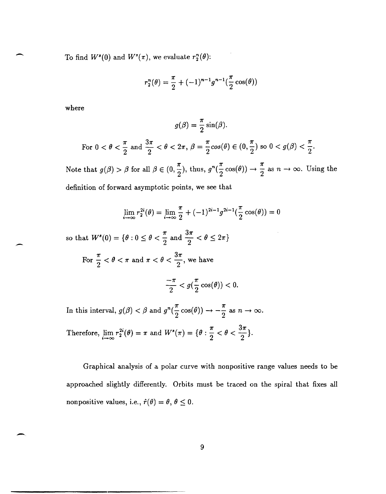To find  $W^{s}(0)$  and  $W^{s}(\pi)$ , we evaluate  $r_{2}^{n}(\theta)$ :

$$
r_2^n(\theta) = \frac{\pi}{2} + (-1)^{n-1} g^{n-1}(\frac{\pi}{2} \cos(\theta))
$$

where

$$
g(\beta) = \frac{\pi}{2}\sin(\beta).
$$
  
For  $0 < \theta < \frac{\pi}{2}$  and  $\frac{3\pi}{2} < \theta < 2\pi$ ,  $\beta = \frac{\pi}{2}\cos(\theta) \in (0, \frac{\pi}{2})$  so  $0 < g(\beta) < \frac{\pi}{2}$ .

Note that  $g(\beta) > \beta$  for all  $\beta \in (0, \frac{\pi}{2})$ , thus,  $g^{n}(\frac{\pi}{2} \cos(\theta)) \to \frac{\pi}{2}$  as  $n \to \infty$ . Using the definition of forward asymptotic points, we see that

$$
\lim_{i \to \infty} r_2^{2i}(\theta) = \lim_{i \to \infty} \frac{\pi}{2} + (-1)^{2i-1} g^{2i-1}(\frac{\pi}{2} \cos(\theta)) = 0
$$

so that  $W^s(0) = \{\theta : 0 \le \theta < \frac{\pi}{2} \text{ and } \frac{3\pi}{2} < \theta \le 2\pi\}$ 

For 
$$
\frac{\pi}{2} < \theta < \pi
$$
 and  $\pi < \theta < \frac{3\pi}{2}$ , we have

$$
\frac{-\pi}{2} < g(\frac{\pi}{2}\cos(\theta)) < 0.
$$

In this interval,  $g(\beta) < \beta$  and  $g^n(\frac{\pi}{2}\cos(\theta)) \to -\frac{\pi}{2}$  as  $n \to \infty$ .

Therefore, 
$$
\lim_{i \to \infty} r_2^{2i}(\theta) = \pi
$$
 and  $W^s(\pi) = \{\theta : \frac{\pi}{2} < \theta < \frac{3\pi}{2}\}.$ 

Graphical analysis of a polar curve with nonpositive range values needs to be approached slightly differently. Orbits must be traced on the spiral that fixes all nonpositive values, i.e.,  $\hat{r}(\theta) = \theta$ ,  $\theta \leq 0$ .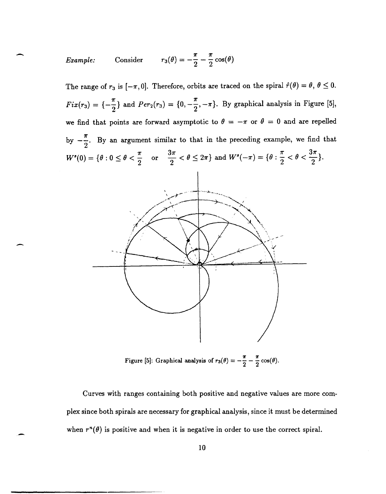Example: Consider 
$$
r_3(\theta) = -\frac{\pi}{2} - \frac{\pi}{2} \cos(\theta)
$$

-

-

The range of  $r_3$  is  $[-\pi, 0]$ . Therefore, orbits are traced on the spiral  $\hat{r}(\theta) = \theta$ ,  $\theta \leq 0$ . *Fix(r<sub>3</sub>)* = { $-\frac{\pi}{2}$ } and *Per<sub>2</sub>(r<sub>3</sub>)* = {0,  $-\frac{\pi}{2}$ ,  $-\pi$ }. By graphical analysis in Figure [5], we find that points are forward asymptotic to  $\theta = -\pi$  or  $\theta = 0$  and are repelled by  $-\frac{\pi}{6}$ . By an argument similar to that in the preceding example, we find that  $2^{\degree}$  $W^{s}(0) = \{\theta: 0 \le \theta < \frac{\pi}{2} \text{ or } \frac{3\pi}{2} < \theta \le 2\pi\} \text{ and } W^{s}(-\pi) = \{\theta: \frac{\pi}{2} < \theta < \frac{3\pi}{2}\}.$ 

Figure [5]: Graphical analysis of  $r_3(\theta) = -\frac{\pi}{2} - \frac{\pi}{2} \cos(\theta)$ .

Curves with ranges containing both positive and negative values are more complex since both spirals are necessary for graphical analysis, since it must be determined when  $r^n(\theta)$  is positive and when it is negative in order to use the correct spiral.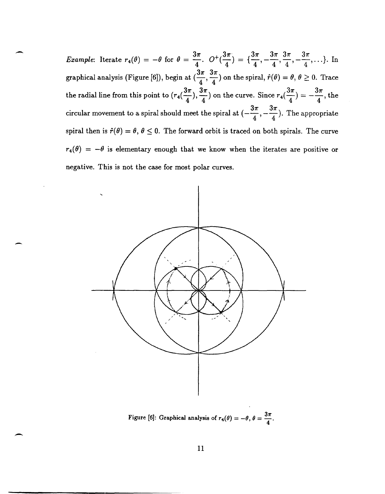*Example*: Iterate  $r_4(\theta) = -\theta$  for  $\theta = \frac{3\pi}{4}$ .  $O^+(\frac{3\pi}{4}) = {\frac{3\pi}{4}, -\frac{3\pi}{4}, \frac{3\pi}{4}, -\frac{3\pi}{4}, ...}$ . In graphical analysis (Figure [6]), begin at  $(\frac{3\pi}{4}, \frac{3\pi}{4})$  on the spiral,  $\hat{r}(\theta) = \theta, \theta \ge 0$ . Trace the radial line from this point to  $(r_4(\frac{3\pi}{\epsilon}), \frac{3\pi}{\epsilon})$  on the curve. Since  $r_4(\frac{3\pi}{\epsilon}) = -\frac{3\pi}{\epsilon}$ , the  $4'$   $4'$   $4'$   $4'$   $4'$ circular movement to a spiral should meet the spiral at  $\left(-\frac{3\pi}{4}, -\frac{3\pi}{4}\right)$ . The appropriate spiral then is  $\hat{r}(\theta) = \theta$ ,  $\theta \le 0$ . The forward orbit is traced on both spirals. The curve  $r_4(\theta) = -\theta$  is elementary enough that we know when the iterates are positive or negative. This is not the case for most polar curves.

-

-



Figure [6]: Graphical analysis of  $r_4(\theta) = -\theta$ ,  $\theta = \frac{3\pi}{4}$ .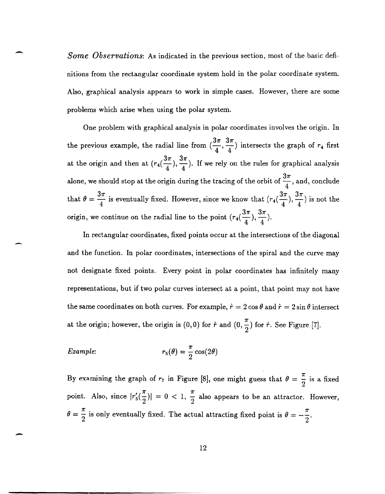*Some Observations:* As indicated in the previous section, most of the basic definitions from the rectangular coordinate system hold in the polar coordinate system. Also, graphical analysis appears to work in simple cases. However, there are some problems which arise when using the polar system.

One problem with graphical analysis in polar coordinates involves the origin. In the previous example, the radial line from  $(\frac{3\pi}{4}, \frac{3\pi}{4})$  intersects the graph of  $r_4$  first at the origin and then at  $(r_4(\frac{3\pi}{4}), \frac{3\pi}{4})$ . If we rely on the rules for graphical analysis alone, we should stop at the origin during the tracing of the orbit of  $\frac{3\pi}{4}$ , and, conclude that  $\theta = \frac{3\pi}{4}$  is eventually fixed. However, since we know that  $(r_4(\frac{3\pi}{4}), \frac{3\pi}{4})$  is not the which arise when using the polar system.<br>
problem with graphical analysis in polar coordinates involves the origin. In<br>
uus example, the radial line from  $(\frac{3\pi}{4}, \frac{3\pi}{4})$  intersects the graph of  $r_4$  first<br>
gin and t origin, we continue on the radial line to the point  $(r_4(\frac{3\pi}{4}), \frac{3\pi}{4})$ .

In rectangular coordinates, fixed points occur at the intersections of the diagonal and the function. In polar coordinates, intersections of the spiral and the curve may not designate fixed points. Every point in polar coordinates has infinitely many representations, but if two polar curves intersect at a point, that point may not have the same coordinates on both curves. For example,  $\dot{r} = 2 \cos \theta$  and  $\dot{r} = 2 \sin \theta$  intersect at the origin; however, the origin is  $(0,0)$  for  $\dot{r}$  and  $(0,\frac{\pi}{2})$  for  $\dot{r}$ . See Figure [7].

Example: 
$$
r_5(\theta) = \frac{\pi}{2} \cos(2\theta)
$$

 $\overline{\phantom{0}}$ 

-

-

By examining the graph of  $r<sub>5</sub>$  in Figure [8], one might guess that  $\theta = \frac{\pi}{2}$  is a fixed point. Also, since  $|r'_{5}(\frac{\pi}{2})|=0 < 1$ ,  $\frac{\pi}{2}$  also appears to be an attractor. However,  $\theta = \frac{\pi}{2}$  is only eventually fixed. The actual attracting fixed point is  $\theta = -\frac{\pi}{2}$ .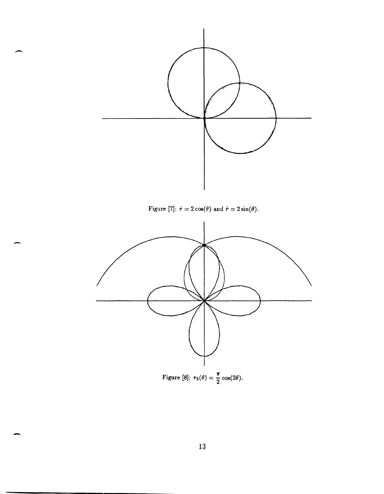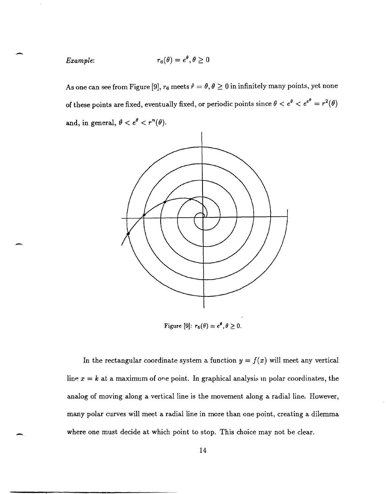*Example:* 

-

-

-

As one can see from Figure [9],  $r_6$  meets  $\hat{r} = \theta, \theta \ge 0$  in infinitely many points, yet none of these points are fixed, eventually fixed, or periodic points since  $\theta < e^{\theta} < e^{e^{\theta}} = r^2(\theta)$ and, in general,  $\theta < e^{\theta} < r^n(\theta)$ .

 $r_6(\theta)=e^{\theta}, \theta\geq 0$ 



Figure [9]:  $r_6(\theta) = e^{\theta}, \theta \ge 0.$ 

In the rectangular coordinate system a function  $y = f(x)$  will meet any vertical line  $x = k$  at a maximum of one point. In graphical analysis in polar coordinates, the analog of moving along a vertical line is the movement along a radial line. However, many polar curves will meet a radial line in more than one point, creating a dilemma where one must decide at which point to stop. This choice may not be clear.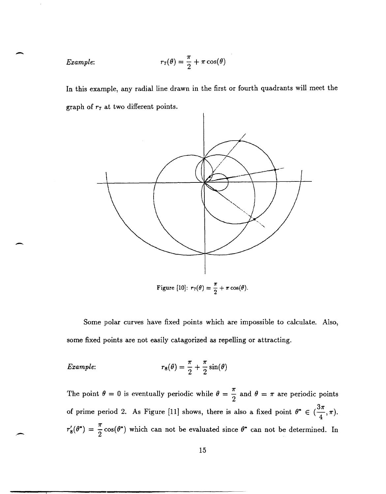Example: 
$$
r_7(\theta) = \frac{\pi}{2} + \pi \cos(\theta)
$$

 $\overline{\phantom{0}}$ 

-

In this example, any radial line drawn in the first or fourth quadrants will meet the graph of *r7* at two different points.



Figure [10]:  $r_7(\theta) = \frac{\pi}{2} + \pi \cos(\theta)$ .

Some polar curves have fixed points which are impossible to calculate. Also, some fixed points are not easily catagorized as repelling or attracting.

Example: 
$$
r_8(\theta) = \frac{\pi}{2} + \frac{\pi}{2}\sin(\theta)
$$

The point  $\theta = 0$  is eventually periodic while  $\theta = \frac{\pi}{2}$  and  $\theta = \pi$  are periodic points of prime period 2. As Figure [11] shows, there is also a fixed point  $\theta^* \in (\frac{3\pi}{4}, \pi)$ .  $r'_8(\theta^*) = \frac{\pi}{2} \cos(\theta^*)$  which can not be evaluated since  $\theta^*$  can not be determined. In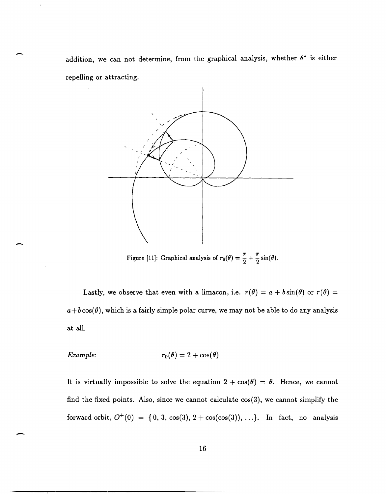addition, we can not determine, from the graphical analysis, whether  $\theta^*$  is either repelling or attracting.



Figure [11]: Graphical analysis of  $r_8(\theta) = \frac{\pi}{2} + \frac{\pi}{2}\sin(\theta)$ .

Lastly, we observe that even with a limacon, i.e.  $r(\theta) = a + b \sin(\theta)$  or  $r(\theta) =$  $a+b\cos(\theta)$ , which is a fairly simple polar curve, we may not be able to do any analysis at all.

Example: 
$$
r_9(\theta) = 2 + \cos(\theta)
$$

It is virtually impossible to solve the equation  $2 + \cos(\theta) = \theta$ . Hence, we cannot find the fixed points. Also, since we cannot calculate cos(3), we cannot simplify the forward orbit,  $O^+(0) = \{0, 3, \cos(3), 2 + \cos(\cos(3)), \ldots\}$ . In fact, no analysis